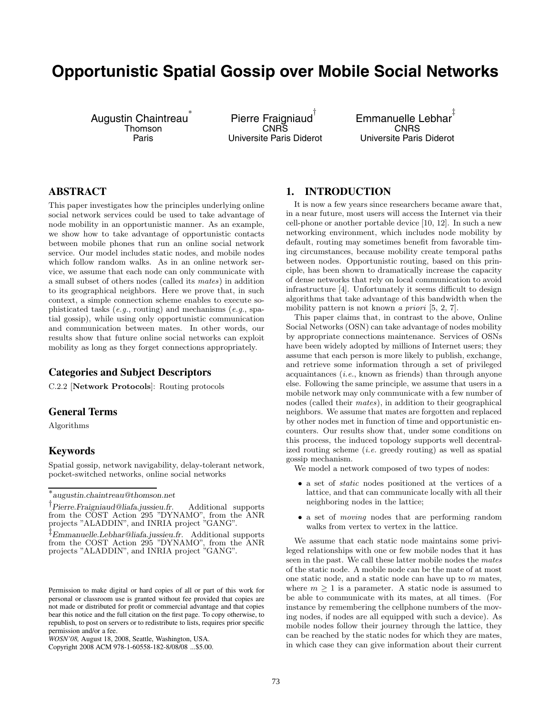# **Opportunistic Spatial Gossip over Mobile Social Networks**

Augustin Chaintreau<sup>∗</sup> Thomson Paris

Pierre Fraigniaud† CNRS Universite Paris Diderot Emmanuelle Lebhar **CNRS** Universite Paris Diderot

# **ABSTRACT**

This paper investigates how the principles underlying online social network services could be used to take advantage of node mobility in an opportunistic manner. As an example, we show how to take advantage of opportunistic contacts between mobile phones that run an online social network service. Our model includes static nodes, and mobile nodes which follow random walks. As in an online network service, we assume that each node can only communicate with a small subset of others nodes (called its *mates*) in addition to its geographical neighbors. Here we prove that, in such context, a simple connection scheme enables to execute sophisticated tasks (*e.g.*, routing) and mechanisms (*e.g.*, spatial gossip), while using only opportunistic communication and communication between mates. In other words, our results show that future online social networks can exploit mobility as long as they forget connections appropriately.

# **Categories and Subject Descriptors**

C.2.2 [**Network Protocols**]: Routing protocols

## **General Terms**

Algorithms

## **Keywords**

Spatial gossip, network navigability, delay-tolerant network, pocket-switched networks, online social networks

## **1. INTRODUCTION**

It is now a few years since researchers became aware that, in a near future, most users will access the Internet via their cell-phone or another portable device [10, 12]. In such a new networking environment, which includes node mobility by default, routing may sometimes benefit from favorable timing circumstances, because mobility create temporal paths between nodes. Opportunistic routing, based on this principle, has been shown to dramatically increase the capacity of dense networks that rely on local communication to avoid infrastructure [4]. Unfortunately it seems difficult to design algorithms that take advantage of this bandwidth when the mobility pattern is not known *a priori* [5, 2, 7].

This paper claims that, in contrast to the above, Online Social Networks (OSN) can take advantage of nodes mobility by appropriate connections maintenance. Services of OSNs have been widely adopted by millions of Internet users; they assume that each person is more likely to publish, exchange, and retrieve some information through a set of privileged acquaintances (*i.e.*, known as friends) than through anyone else. Following the same principle, we assume that users in a mobile network may only communicate with a few number of nodes (called their *mates*), in addition to their geographical neighbors. We assume that mates are forgotten and replaced by other nodes met in function of time and opportunistic encounters. Our results show that, under some conditions on this process, the induced topology supports well decentralized routing scheme (*i.e.* greedy routing) as well as spatial gossip mechanism.

We model a network composed of two types of nodes:

- a set of *static* nodes positioned at the vertices of a lattice, and that can communicate locally with all their neighboring nodes in the lattice;
- a set of *moving* nodes that are performing random walks from vertex to vertex in the lattice.

We assume that each static node maintains some privileged relationships with one or few mobile nodes that it has seen in the past. We call these latter mobile nodes the *mates* of the static node. A mobile node can be the mate of at most one static node, and a static node can have up to m mates, where  $m \geq 1$  is a parameter. A static node is assumed to be able to communicate with its mates, at all times. (For instance by remembering the cellphone numbers of the moving nodes, if nodes are all equipped with such a device). As mobile nodes follow their journey through the lattice, they can be reached by the static nodes for which they are mates, in which case they can give information about their current

<sup>∗</sup>*augustin.chaintreau@thomson.net*

<sup>†</sup> *Pierre.Fraigniaud@liafa.jussieu.fr*. Additional supports from the COST Action 295 "DYNAMO", from the ANR projects "ALADDIN", and INRIA project "GANG".

<sup>‡</sup>*Emmanuelle.Lebhar@liafa.jussieu.fr*. Additional supports from the COST Action 295 "DYNAMO", from the ANR projects "ALADDIN", and INRIA project "GANG".

Permission to make digital or hard copies of all or part of this work for personal or classroom use is granted without fee provided that copies are not made or distributed for profit or commercial advantage and that copies bear this notice and the full citation on the first page. To copy otherwise, to republish, to post on servers or to redistribute to lists, requires prior specific permission and/or a fee.

*WOSN'08,* August 18, 2008, Seattle, Washington, USA.

Copyright 2008 ACM 978-1-60558-182-8/08/08 ...\$5.00.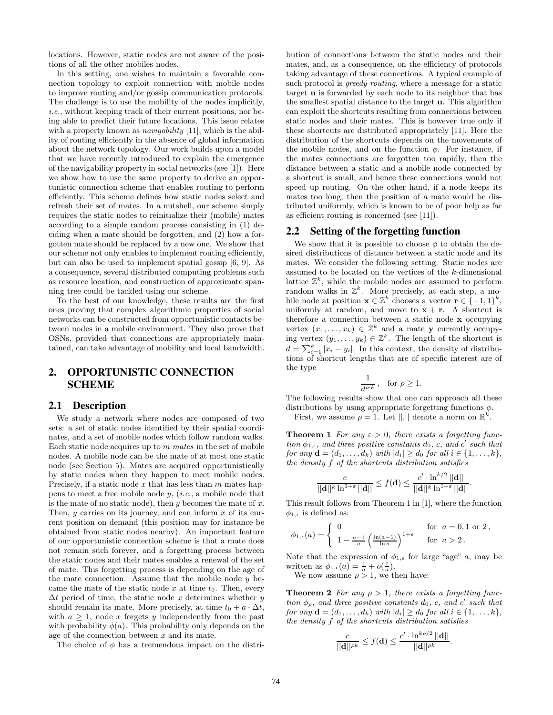locations. However, static nodes are not aware of the positions of all the other mobiles nodes.

In this setting, one wishes to maintain a favorable connection topology to exploit connection with mobile nodes to improve routing and/or gossip communication protocols. The challenge is to use the mobility of the nodes implicitly, *i.e.*, without keeping track of their current positions, nor being able to predict their future locations. This issue relates with a property known as *navigability* [11], which is the ability of routing efficiently in the absence of global information about the network topology. Our work builds upon a model that we have recently introduced to explain the emergence of the navigability property in social networks (see [1]). Here we show how to use the same property to derive an opportunistic connection scheme that enables routing to perform efficiently. This scheme defines how static nodes select and refresh their set of mates. In a nutshell, our scheme simply requires the static nodes to reinitialize their (mobile) mates according to a simple random process consisting in (1) deciding when a mate should be forgotten, and (2) how a forgotten mate should be replaced by a new one. We show that our scheme not only enables to implement routing efficiently, but can also be used to implement spatial gossip [6, 9]. As a consequence, several distributed computing problems such as resource location, and construction of approximate spanning tree could be tackled using our scheme.

To the best of our knowledge, these results are the first ones proving that complex algorithmic properties of social networks can be constructed from opportunistic contacts between nodes in a mobile environment. They also prove that OSNs, provided that connections are appropriately maintained, can take advantage of mobility and local bandwidth.

# **2. OPPORTUNISTIC CONNECTION SCHEME**

#### **2.1 Description**

We study a network where nodes are composed of two sets: a set of static nodes identified by their spatial coordinates, and a set of mobile nodes which follow random walks. Each static node acquires up to m *mates* in the set of mobile nodes. A mobile node can be the mate of at most one static node (see Section 5). Mates are acquired opportunistically by static nodes when they happen to meet mobile nodes. Precisely, if a static node  $x$  that has less than  $m$  mates happens to meet a free mobile node y, (*i.e.*, a mobile node that is the mate of no static node), then  $y$  becomes the mate of  $x$ . Then,  $y$  carries on its journey, and can inform  $x$  of its current position on demand (this position may for instance be obtained from static nodes nearby). An important feature of our opportunistic connection scheme is that a mate does not remain such forever, and a forgetting process between the static nodes and their mates enables a renewal of the set of mate. This forgetting process is depending on the age of the mate connection. Assume that the mobile node  $y$  became the mate of the static node  $x$  at time  $t_0$ . Then, every  $\Delta t$  period of time, the static node x determines whether y should remain its mate. More precisely, at time  $t_0 + a \cdot \Delta t$ , with  $a \geq 1$ , node x forgets y independently from the past with probability  $\phi(a)$ . This probability only depends on the age of the connection between  $x$  and its mate.

The choice of  $\phi$  has a tremendous impact on the distri-

bution of connections between the static nodes and their mates, and, as a consequence, on the efficiency of protocols taking advantage of these connections. A typical example of such protocol is *greedy routing*, where a message for a static target **u** is forwarded by each node to its neighbor that has the smallest spatial distance to the target **u**. This algorithm can exploit the shortcuts resulting from connections between static nodes and their mates. This is however true only if these shortcuts are distributed appropriately [11]. Here the distribution of the shortcuts depends on the movements of the mobile nodes, and on the function  $\phi$ . For instance, if the mates connections are forgotten too rapidly, then the distance between a static and a mobile node connected by a shortcut is small, and hence these connections would not speed up routing. On the other hand, if a node keeps its mates too long, then the position of a mate would be distributed uniformly, which is known to be of poor help as far as efficient routing is concerned (see [11]).

#### **2.2 Setting of the forgetting function**

We show that it is possible to choose  $\phi$  to obtain the desired distributions of distance between a static node and its mates. We consider the following setting. Static nodes are assumed to be located on the vertices of the k-dimensional lattice  $\mathbb{Z}^k$ , while the mobile nodes are assumed to perform random walks in  $\mathbb{Z}^k$ . More precisely, at each step, a mobile node at position  $\mathbf{x} \in \mathbb{Z}^k$  chooses a vector  $\mathbf{r} \in \{-1,1\}^k$ , uniformly at random, and move to  $\mathbf{x} + \mathbf{r}$ . A shortcut is therefore a connection between a static node **x** occupying vertex  $(x_1,...,x_k) \in \mathbb{Z}^k$  and a mate **y** currently occupying vertex  $(y_1,...,y_k) \in \mathbb{Z}^k$ . The length of the shortcut is  $d = \sum_{i=1}^{k} |x_i - y_i|$ . In this context, the density of distributions of shortcut lengths that are of specific interest are of the type

$$
\frac{1}{d^{\rho \cdot k}}, \quad \text{for } \rho \ge 1.
$$

The following results show that one can approach all these distributions by using appropriate forgetting functions  $\phi$ .

First, we assume  $\rho = 1$ . Let ||.|| denote a norm on  $\mathbb{R}^k$ .

**Theorem 1** *For any*  $\varepsilon > 0$ *, there exists a forgetting function*  $\phi_{1,\epsilon}$ *, and three positive constants*  $d_0$ *, c, and c' such that for any*  $\mathbf{d} = (d_1, \ldots, d_k)$  *with*  $|d_i| \geq d_0$  *for all*  $i \in \{1, \ldots, k\}$ *, the density* f *of the shortcuts distribution satisfies*

$$
\frac{c}{||\mathbf{d}||^k \ln^{1+\varepsilon} ||\mathbf{d}||} \le f(\mathbf{d}) \le \frac{c' \cdot \ln^{k/2} ||\mathbf{d}||}{||\mathbf{d}||^k \ln^{1+\varepsilon} ||\mathbf{d}||}.
$$

This result follows from Theorem 1 in [1], where the function  $\phi_{1,\epsilon}$  is defined as:

$$
\phi_{1,\epsilon}(a) = \begin{cases} 0 & \text{for } a = 0, 1 \text{ or } 2, \\ 1 - \frac{a-1}{a} \left( \frac{\ln(a-1)}{\ln a} \right)^{1+\epsilon} & \text{for } a > 2. \end{cases}
$$

Note that the expression of  $\phi_{1,\epsilon}$  for large "age" a, may be written as  $\phi_{1,\epsilon}(a) = \frac{1}{a} + o(\frac{1}{a}).$ 

We now assume  $\rho > 1$ , we then have:

**Theorem 2** *For any*  $\rho > 1$ *, there exists a forgetting function*  $\phi_{\rho}$ *, and three positive constants*  $d_0$ *, c, and c' such that for any*  $\mathbf{d} = (d_1, \ldots, d_k)$  *with*  $|d_i| \geq d_0$  *for all*  $i \in \{1, \ldots, k\}$ *, the density* f *of the shortcuts distribution satisfies*

$$
\frac{c}{||\mathbf{d}||^{\rho k}} \leq f(\mathbf{d}) \leq \frac{c' \cdot \ln^{k\rho/2} ||\mathbf{d}||}{||\mathbf{d}||^{\rho k}}.
$$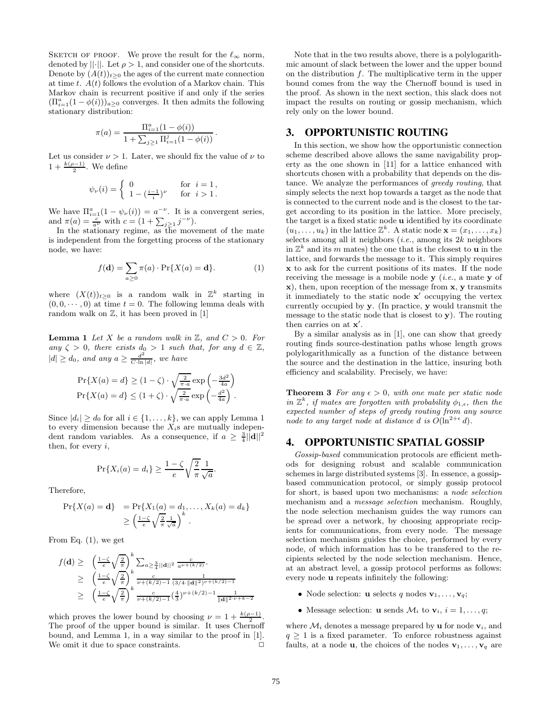SKETCH OF PROOF. We prove the result for the  $\ell_{\infty}$  norm, denoted by  $||\cdot||$ . Let  $\rho > 1$ , and consider one of the shortcuts. Denote by  $(A(t))_{t\geq0}$  the ages of the current mate connection at time t.  $A(t)$  follows the evolution of a Markov chain. This Markov chain is recurrent positive if and only if the series  $(\prod_{i=1}^{a} (1 - \phi(i)))_{a \geq 0}$  converges. It then admits the following stationary distribution:

$$
\pi(a) = \frac{\Pi_{i=1}^a(1-\phi(i))}{1+\sum_{j\geq 1}\Pi_{i=1}^j(1-\phi(i))}.
$$

Let us consider  $\nu > 1$ . Later, we should fix the value of  $\nu$  to  $1+\frac{k(\rho-1)}{2}$ . We define

$$
\psi_{\nu}(i)=\left\{\begin{array}{ll} 0 & \text{for}\;\; i=1\,,\\ 1-(\frac{i-1}{i})^{\nu} & \text{for}\;\; i>1\,. \end{array}\right.
$$

We have  $\Pi_{i=1}^a(1-\psi_\nu(i))=a^{-\nu}$ . It is a convergent series, and  $\pi(a) = \frac{c}{a^{\nu}}$  with  $c = (1 + \sum_{j \geq 1} j^{-\nu})$ .<br>In the stationary regime, as the movement of the mate

is independent from the forgetting process of the stationary node, we have:

$$
f(\mathbf{d}) = \sum_{a \ge 0} \pi(a) \cdot \Pr\{X(a) = \mathbf{d}\}.
$$
 (1)

where  $(X(t))_{t>0}$  is a random walk in  $\mathbb{Z}^k$  starting in  $(0, 0, \dots, 0)$  at time  $t = 0$ . The following lemma deals with random walk on  $\mathbb{Z}$ , it has been proved in [1]

**Lemma 1** *Let* X *be a random walk in*  $\mathbb{Z}$ *, and*  $C > 0$ *. For any*  $\zeta > 0$ *, there exists*  $d_0 > 1$  *such that, for any*  $d \in \mathbb{Z}$ *,*  $|d| \geq d_0$ , and any  $a \geq \frac{d^2}{C \cdot \ln |d|}$ , we have

$$
\Pr\{X(a) = d\} \ge (1 - \zeta) \cdot \sqrt{\frac{2}{\pi \cdot a}} \exp\left(-\frac{3d^2}{4a}\right)
$$
  

$$
\Pr\{X(a) = d\} \le (1 + \zeta) \cdot \sqrt{\frac{2}{\pi \cdot a}} \exp\left(-\frac{d^2}{4a}\right).
$$

Since  $|d_i| \geq d_0$  for all  $i \in \{1, \ldots, k\}$ , we can apply Lemma 1 to every dimension because the  $X_i$ s are mutually independent random variables. As a consequence, if  $a \geq \frac{3}{4} ||\mathbf{d}||^2$ then, for every  $i$ ,

$$
\Pr\{X_i(a) = d_i\} \ge \frac{1-\zeta}{e} \sqrt{\frac{2}{\pi}} \frac{1}{\sqrt{a}}.
$$

Therefore,

$$
\Pr\{X(a) = \mathbf{d}\} = \Pr\{X_1(a) = d_1, \dots, X_k(a) = d_k\}
$$

$$
\geq \left(\frac{1-\zeta}{e}\sqrt{\frac{2}{\pi}}\frac{1}{\sqrt{a}}\right)^k.
$$

From Eq. (1), we get

$$
f(\mathbf{d}) \geq \left(\frac{1-\zeta}{e}\sqrt{\frac{2}{\pi}}\right)^k \sum_{a \geq \frac{3}{4}||\mathbf{d}||^2} \frac{c}{a^{\nu + (k/2)}}.
$$
  
\n
$$
\geq \left(\frac{1-\zeta}{e}\sqrt{\frac{2}{\pi}}\right)^k \frac{c}{\nu + (k/2) - 1} \frac{1}{(3/4 \cdot ||\mathbf{d}||^2)^{\nu + (k/2) - 1}}
$$
  
\n
$$
\geq \left(\frac{1-\zeta}{e}\sqrt{\frac{2}{\pi}}\right)^k \frac{c}{\nu + (k/2) - 1} \frac{1}{(\frac{3}{4})^{\nu + (k/2) - 1} \frac{1}{||\mathbf{d}||^{2 \cdot \nu + k - 2}}}
$$

which proves the lower bound by choosing  $\nu = 1 + \frac{k(\rho-1)}{2}$ . The proof of the upper bound is similar. It uses Chernoff bound, and Lemma 1, in a way similar to the proof in [1]. We omit it due to space constraints.  $\Box$ 

Note that in the two results above, there is a polylogarithmic amount of slack between the lower and the upper bound on the distribution  $f$ . The multiplicative term in the upper bound comes from the way the Chernoff bound is used in the proof. As shown in the next section, this slack does not impact the results on routing or gossip mechanism, which rely only on the lower bound.

## **3. OPPORTUNISTIC ROUTING**

In this section, we show how the opportunistic connection scheme described above allows the same navigability property as the one shown in [11] for a lattice enhanced with shortcuts chosen with a probability that depends on the distance. We analyze the performances of *greedy routing*, that simply selects the next hop towards a target as the node that is connected to the current node and is the closest to the target according to its position in the lattice. More precisely, the target is a fixed static node **u** identified by its coordinate  $(u_1,\ldots,u_k)$  in the lattice  $\mathbb{Z}^k$ . A static node  $\mathbf{x}=(x_1,\ldots,x_k)$ selects among all it neighbors (*i.e.*, among its 2k neighbors in  $\mathbb{Z}^k$  and its m mates) the one that is the closest to **u** in the lattice, and forwards the message to it. This simply requires **x** to ask for the current positions of its mates. If the node receiving the message is a mobile node **y** (*i.e.*, a mate **y** of **x**), then, upon reception of the message from **x**, **y** transmits it immediately to the static node **x**<sup>'</sup> occupying the vertex currently occupied by **y**. (In practice, **y** would transmit the message to the static node that is closest to **y**). The routing then carries on at  $\mathbf{x}'$ .

By a similar analysis as in [1], one can show that greedy routing finds source-destination paths whose length grows polylogarithmically as a function of the distance between the source and the destination in the lattice, insuring both efficiency and scalability. Precisely, we have:

**Theorem 3** For any  $\epsilon > 0$ , with one mate per static node *in*  $\mathbb{Z}^k$ *, if mates are forgotten with probability*  $\phi_{1,\epsilon}$ *, then the expected number of steps of greedy routing from any source node to any target node at distance* d *is*  $O(\ln^{2+\epsilon} d)$ *.* 

## **4. OPPORTUNISTIC SPATIAL GOSSIP**

*Gossip-based* communication protocols are efficient methods for designing robust and scalable communication schemes in large distributed systems [3]. In essence, a gossipbased communication protocol, or simply gossip protocol for short, is based upon two mechanisms: a *node selection* mechanism and a *message selection* mechanism. Roughly, the node selection mechanism guides the way rumors can be spread over a network, by choosing appropriate recipients for communications, from every node. The message selection mechanism guides the choice, performed by every node, of which information has to be transfered to the recipients selected by the node selection mechanism. Hence, at an abstract level, a gossip protocol performs as follows: every node **u** repeats infinitely the following:

- Node selection: **u** selects q nodes  $\mathbf{v}_1, \ldots, \mathbf{v}_q$ ;
- Message selection: **u** sends  $\mathcal{M}_i$  to  $\mathbf{v}_i$ ,  $i = 1, \ldots, q$ ;

where  $\mathcal{M}_i$  denotes a message prepared by **u** for node  $\mathbf{v}_i$ , and  $q \geq 1$  is a fixed parameter. To enforce robustness against faults, at a node **u**, the choices of the nodes  $\mathbf{v}_1, \ldots, \mathbf{v}_q$  are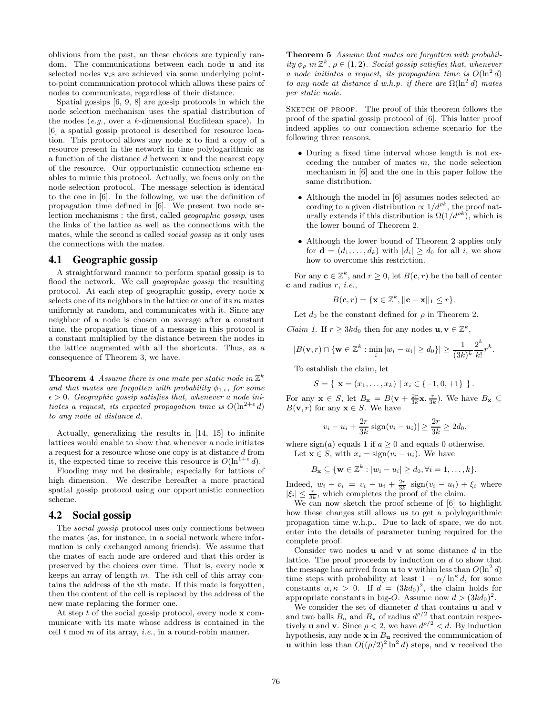oblivious from the past, an these choices are typically random. The communications between each node **u** and its selected nodes  $v_i$ s are achieved via some underlying pointto-point communication protocol which allows these pairs of nodes to communicate, regardless of their distance.

Spatial gossips [6, 9, 8] are gossip protocols in which the node selection mechanism uses the spatial distribution of the nodes (*e.g.*, over a k-dimensional Euclidean space). In [6] a spatial gossip protocol is described for resource location. This protocol allows any node **x** to find a copy of a resource present in the network in time polylogarithmic as a function of the distance d between **x** and the nearest copy of the resource. Our opportunistic connection scheme enables to mimic this protocol. Actually, we focus only on the node selection protocol. The message selection is identical to the one in [6]. In the following, we use the definition of propagation time defined in [6]. We present two node selection mechanisms : the first, called *geographic gossip*, uses the links of the lattice as well as the connections with the mates, while the second is called *social gossip* as it only uses the connections with the mates.

## **4.1 Geographic gossip**

A straightforward manner to perform spatial gossip is to flood the network. We call *geographic gossip* the resulting protocol. At each step of geographic gossip, every node **x** selects one of its neighbors in the lattice or one of its  $m$  mates uniformly at random, and communicates with it. Since any neighbor of a node is chosen on average after a constant time, the propagation time of a message in this protocol is a constant multiplied by the distance between the nodes in the lattice augmented with all the shortcuts. Thus, as a consequence of Theorem 3, we have.

**Theorem 4** *Assume there is one mate per static node in*  $\mathbb{Z}^k$ *and that mates are forgotten with probability*  $\phi_{1,\epsilon}$ *, for some*  $\epsilon > 0$ . Geographic gossip satisfies that, whenever a node ini*tiates a request, its expected propagation time is*  $O(\ln^{2+\epsilon} d)$ *to any node at distance* d*.*

Actually, generalizing the results in [14, 15] to infinite lattices would enable to show that whenever a node initiates a request for a resource whose one copy is at distance d from it, the expected time to receive this resource is  $O(\ln^{1+\epsilon} d)$ .

Flooding may not be desirable, especially for lattices of high dimension. We describe hereafter a more practical spatial gossip protocol using our opportunistic connection scheme.

#### **4.2 Social gossip**

The *social gossip* protocol uses only connections between the mates (as, for instance, in a social network where information is only exchanged among friends). We assume that the mates of each node are ordered and that this order is preserved by the choices over time. That is, every node **x** keeps an array of length m. The ith cell of this array contains the address of the ith mate. If this mate is forgotten, then the content of the cell is replaced by the address of the new mate replacing the former one.

At step t of the social gossip protocol, every node **x** communicate with its mate whose address is contained in the cell t mod m of its array, *i.e.*, in a round-robin manner.

**Theorem 5** *Assume that mates are forgotten with probability*  $\phi_{\rho}$  *in*  $\mathbb{Z}^{k}$ *,*  $\rho \in (1, 2)$ *. Social gossip satisfies that, whenever a node initiates a request, its propagation time is*  $O(\ln^2 d)$ *to any node at distance* d *w.h.p. if there are*  $\Omega(\ln^2 d)$  *mates per static node.*

SKETCH OF PROOF. The proof of this theorem follows the proof of the spatial gossip protocol of [6]. This latter proof indeed applies to our connection scheme scenario for the following three reasons.

- During a fixed time interval whose length is not exceeding the number of mates  $m$ , the node selection mechanism in [6] and the one in this paper follow the same distribution.
- Although the model in [6] assumes nodes selected according to a given distribution  $\propto 1/d^{\rho k}$ , the proof naturally extends if this distribution is  $\Omega(1/d^{\rho k})$ , which is the lower bound of Theorem 2.
- Although the lower bound of Theorem 2 applies only for  $\mathbf{d} = (d_1, \ldots, d_k)$  with  $|d_i| \geq d_0$  for all i, we show how to overcome this restriction.

For any  $\mathbf{c} \in \mathbb{Z}^k$ , and  $r \geq 0$ , let  $B(\mathbf{c}, r)$  be the ball of center **c** and radius r, *i.e.*,

$$
B(\mathbf{c},r) = \{\mathbf{x} \in \mathbb{Z}^k, ||\mathbf{c} - \mathbf{x}||_1 \le r\}.
$$

Let  $d_0$  be the constant defined for  $\rho$  in Theorem 2.

*Claim 1.* If  $r > 3kd_0$  then for any nodes  $\mathbf{u}, \mathbf{v} \in \mathbb{Z}^k$ ,

$$
|B(\mathbf{v},r)\cap \{\mathbf{w}\in\mathbb{Z}^k:\min_i|w_i-u_i|\geq d_0\}|\geq \frac{1}{(3k)^k}\frac{2^k}{k!}r^k.
$$

To establish the claim, let

$$
S = \{ \mathbf{x} = (x_1, \dots, x_k) \mid x_i \in \{-1, 0, +1\} \}.
$$

For any  $\mathbf{x} \in S$ , let  $B_{\mathbf{x}} = B(\mathbf{v} + \frac{2r}{3k}\mathbf{x}, \frac{r}{3k})$ . We have  $B_{\mathbf{x}} \subseteq$  $B(\mathbf{v}, r)$  for any  $\mathbf{x} \in S$ . We have

$$
|v_i - u_i + \frac{2r}{3k} \operatorname{sign}(v_i - u_i)| \ge \frac{2r}{3k} \ge 2d_0,
$$

where  $sign(a)$  equals 1 if  $a > 0$  and equals 0 otherwise. Let  $\mathbf{x} \in S$ , with  $x_i = \text{sign}(v_i - u_i)$ . We have

$$
B_{\mathbf{x}} \subseteq \{\mathbf{w} \in \mathbb{Z}^k : |w_i - u_i| \ge d_0, \forall i = 1, \dots, k\}.
$$

Indeed,  $w_i - v_i = v_i - u_i + \frac{2r}{3k} \operatorname{sign}(v_i - u_i) + \xi_i$  where  $|\xi_i| \leq \frac{r}{3k}$ , which completes the proof of the claim.

We can now sketch the proof scheme of [6] to highlight how these changes still allows us to get a polylogarithmic propagation time w.h.p.. Due to lack of space, we do not enter into the details of parameter tuning required for the complete proof.

Consider two nodes **u** and **v** at some distance d in the lattice. The proof proceeds by induction on  $d$  to show that the message has arrived from **u** to **v** within less than  $O(\ln^2 d)$ time steps with probability at least  $1 - \alpha / \ln^{\kappa} d$ , for some constants  $\alpha, \kappa > 0$ . If  $d = (3kd_0)^2$ , the claim holds for appropriate constants in big-O. Assume now  $d > (3k d_0)^2$ .

We consider the set of diameter d that contains **u** and **v** and two balls  $B_u$  and  $B_v$  of radius  $d^{p/2}$  that contain respectively **u** and **v**. Since  $\rho < 2$ , we have  $d^{\rho/2} < d$ . By induction hypothesis, any node **x** in  $B_u$  received the communication of **u** within less than  $O((\rho/2)^2 \ln^2 d)$  steps, and **v** received the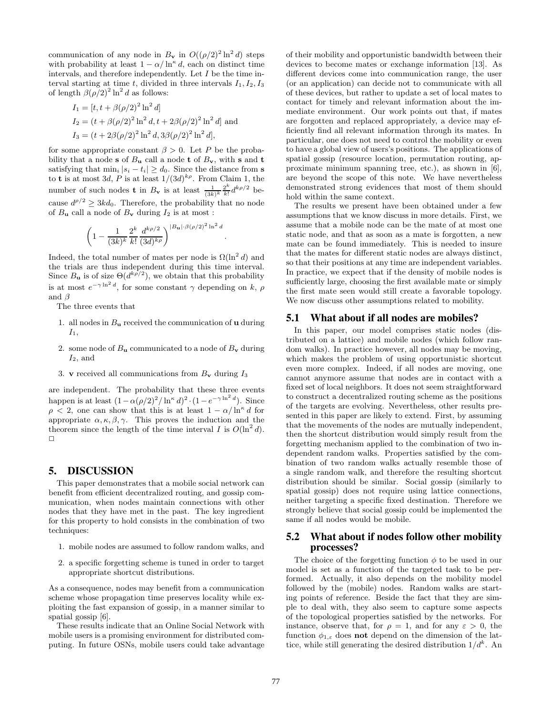communication of any node in  $B_v$  in  $O((\rho/2)^2 \ln^2 d)$  steps with probability at least  $1 - \alpha / \ln^{\kappa} d$ , each on distinct time intervals, and therefore independently. Let  $I$  be the time interval starting at time t, divided in three intervals  $I_1, I_2, I_3$ of length  $\beta(\rho/2)^2 \ln^2 d$  as follows:

$$
I_1 = [t, t + \beta(\rho/2)^2 \ln^2 d]
$$
  
\n
$$
I_2 = (t + \beta(\rho/2)^2 \ln^2 d, t + 2\beta(\rho/2)^2 \ln^2 d]
$$
 and  
\n
$$
I_3 = (t + 2\beta(\rho/2)^2 \ln^2 d, 3\beta(\rho/2)^2 \ln^2 d],
$$

for some appropriate constant  $\beta > 0$ . Let P be the probability that a node **s** of  $B_u$  call a node **t** of  $B_v$ , with **s** and **t** satisfying that  $\min_i |s_i - t_i| \ge d_0$ . Since the distance from **s** to **t** is at most 3d, P is at least  $1/(3d)^{k\rho}$ . From Claim 1, the number of such nodes **t** in  $B_v$  is at least  $\frac{1}{(3k)^k} \frac{2^k}{k!} d^{k\rho/2}$  because  $d^{\rho/2} \geq 3kd_0$ . Therefore, the probability that no node of  $B_u$  call a node of  $B_v$  during  $I_2$  is at most :

$$
\left(1 - \frac{1}{(3k)^k} \frac{2^k}{k!} \frac{d^{k\rho/2}}{(3d)^{k\rho}}\right)^{|B_{\mathbf{u}}| \cdot \beta(\rho/2)^2 \ln^2 d}.
$$

Indeed, the total number of mates per node is  $\Omega(\ln^2 d)$  and the trials are thus independent during this time interval. Since  $B_{\mathbf{u}}$  is of size  $\Theta(d^{\overline{k\rho}/2})$ , we obtain that this probability is at most  $e^{-\gamma \ln^2 d}$ , for some constant  $\gamma$  depending on  $k, \rho$ and  $\beta$ 

The three events that

- 1. all nodes in B**<sup>u</sup>** received the communication of **u** during  $I_1$ ,
- 2. some node of  $B_u$  communicated to a node of  $B_v$  during  $I_2$ , and
- 3. **v** received all communications from  $B_{\mathbf{v}}$  during  $I_3$

are independent. The probability that these three events happen is at least  $(1 - \alpha(\rho/2)^2 / \ln^{\kappa} d)^2 \cdot (1 - e^{-\gamma \ln^2 d})$ . Since  $\rho < 2$ , one can show that this is at least  $1 - \alpha / \ln^{\kappa} d$  for appropriate  $\alpha, \kappa, \beta, \gamma$ . This proves the induction and the theorem since the length of the time interval I is  $O(\ln^2 d)$ .  $\Box$ 

## **5. DISCUSSION**

This paper demonstrates that a mobile social network can benefit from efficient decentralized routing, and gossip communication, when nodes maintain connections with other nodes that they have met in the past. The key ingredient for this property to hold consists in the combination of two techniques:

- 1. mobile nodes are assumed to follow random walks, and
- 2. a specific forgetting scheme is tuned in order to target appropriate shortcut distributions.

As a consequence, nodes may benefit from a communication scheme whose propagation time preserves locality while exploiting the fast expansion of gossip, in a manner similar to spatial gossip [6].

These results indicate that an Online Social Network with mobile users is a promising environment for distributed computing. In future OSNs, mobile users could take advantage of their mobility and opportunistic bandwidth between their devices to become mates or exchange information [13]. As different devices come into communication range, the user (or an application) can decide not to communicate with all of these devices, but rather to update a set of local mates to contact for timely and relevant information about the immediate environment. Our work points out that, if mates are forgotten and replaced appropriately, a device may efficiently find all relevant information through its mates. In particular, one does not need to control the mobility or even to have a global view of users's positions. The applications of spatial gossip (resource location, permutation routing, approximate minimum spanning tree, etc.), as shown in [6], are beyond the scope of this note. We have nevertheless demonstrated strong evidences that most of them should hold within the same context.

The results we present have been obtained under a few assumptions that we know discuss in more details. First, we assume that a mobile node can be the mate of at most one static node, and that as soon as a mate is forgotten, a new mate can be found immediately. This is needed to insure that the mates for different static nodes are always distinct, so that their positions at any time are independent variables. In practice, we expect that if the density of mobile nodes is sufficiently large, choosing the first available mate or simply the first mate seen would still create a favorable topology. We now discuss other assumptions related to mobility.

#### **5.1 What about if all nodes are mobiles?**

In this paper, our model comprises static nodes (distributed on a lattice) and mobile nodes (which follow random walks). In practice however, all nodes may be moving, which makes the problem of using opportunistic shortcut even more complex. Indeed, if all nodes are moving, one cannot anymore assume that nodes are in contact with a fixed set of local neighbors. It does not seem straightforward to construct a decentralized routing scheme as the positions of the targets are evolving. Nevertheless, other results presented in this paper are likely to extend. First, by assuming that the movements of the nodes are mutually independent, then the shortcut distribution would simply result from the forgetting mechanism applied to the combination of two independent random walks. Properties satisfied by the combination of two random walks actually resemble those of a single random walk, and therefore the resulting shortcut distribution should be similar. Social gossip (similarly to spatial gossip) does not require using lattice connections, neither targeting a specific fixed destination. Therefore we strongly believe that social gossip could be implemented the same if all nodes would be mobile.

## **5.2 What about if nodes follow other mobility processes?**

The choice of the forgetting function  $\phi$  to be used in our model is set as a function of the targeted task to be performed. Actually, it also depends on the mobility model followed by the (mobile) nodes. Random walks are starting points of reference. Beside the fact that they are simple to deal with, they also seem to capture some aspects of the topological properties satisfied by the networks. For instance, observe that, for  $\rho = 1$ , and for any  $\varepsilon > 0$ , the function  $\phi_{1,\varepsilon}$  does **not** depend on the dimension of the lattice, while still generating the desired distribution  $1/d^k$ . An